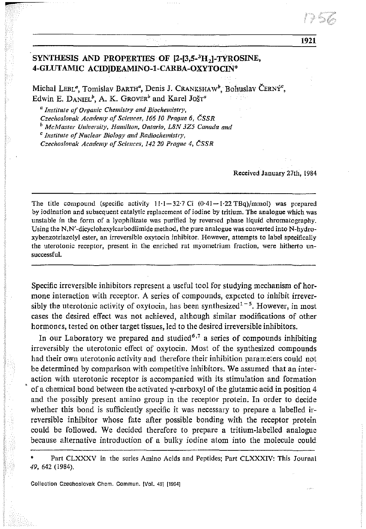# SYNTHESIS AND PROPERTIES OF [2-[3,5-<sup>3</sup>H<sub>2</sub>]-TYROSINE, 4-GLUTAMIC ACIDIDEAMINO-1-CARBA-OXYTOCIN\*

Michal LEBL<sup>a</sup>, Tomislav BARTH<sup>a</sup>, Denis J. CRANKSHAW<sup>b</sup>, Bohuslav ČERNÝ<sup>c</sup>, Edwin E. DANIEL<sup>b</sup>, A. K. GROVER<sup>b</sup> and Karel JOŠT<sup>a</sup>

*a Institute of Organic Chemistry and Biochemistry, Czechoslovak Academy of Sciences, 16610 Praqtte* 6, *CSSR b McMaster University, Hamilton, Ontario, L8N 3Z5 Canada and <sup>C</sup> Institute ofNuclear Biology and Radiochemistry, Czechoslovak Academy 0/ Sciences, 14220 Prague* 4. *(;SSR*

Received January 27th. 1984

The title compound (specific activity 11'1-32-7 Ci *(0-41-1-22* TBq)/mmoI) was prepared by iodination and subsequent catalytic replacement of iodine by tritium. The analogue which was unstable in the form of a Iyophilizate was purified by reversed phase liquid chromatography. Using the N,N'-dicyclohexylcarbodiimide method, the pure analogue was converted into N-hydroxybenzotriazolyl ester, an irreversible oxytocin inhibitor. However, attempts to label specifically the uterotonic receptor, present in the enriched rat myometrium fraction, were hitherto unsuccessful.

Specific irreversible inhibitors represent a useful tool for studying mechanism of hormone interaction with receptor. A series of compounds, expected to inhibit irreversibly the uterotonic activity of oxytocin, has been synthesized<sup> $1-5$ </sup>. However, in most cases the desired effect was not achieved, although similar modifications of other hormones, tested on other target tissues, led to the desired irreversible inhibitors.

In our Laboratory we prepared and studied<sup>6,7</sup> a series of compounds inhibiting irreversibly the uterotonic effect of oxytocin. Most of the synthesized compounds had their own uterotonic activity aud therefore their inhibition parameters could not be determined by comparison with competitive inhibitors. We assumed that an interaction with uterotonic receptor is accompanied with its stimulation and formation of a chemical bond between the activated  $\gamma$ -carboxyl of the glutamic acid in position 4 and the possibly present amino group in the receptor protein. In order to decide whether this bond is sufficiently specific it was necessary to prepare a labelled irreversible inhibitor whose fate after possible bonding with the receptor protein could be followed. We decided therefore to prepare a tritium-labelled analogue because alternative introduction of a bulky iodine atom into the molecule could

Part CLXXXV in the series Amino Acids and Peptides; Part CLXXXIV: This Journal 49, 642 (1984).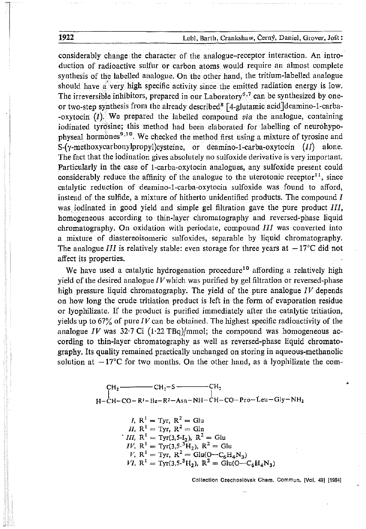considerably change the character of the analogue-receptor interaction. An introduction of radioactive sulfur or carbon atoms would require an almost complete synthesis of the labelled analogue. On the other hand, the tritium-labelled analogue should have  $a'$  very high specific activity since the emitted radiation energy is low. The irreversible inhibitors, prepared in our Laboratory<sup>6,7</sup> can be synthesized by oneor two-step synthesis from the already described<sup>8</sup>  $[4$ -glutamic acid deamino-1-carba--oxytocin  $(I)$ . We prepared the labelled compound *via* the analogue, containing iodinated tyrosine; this method had been elaborated for labelling of neurohypophyseal hormones<sup>9,10</sup>. We checked the method first using a mixture of tyrosine and S-(y-methoxycarbonylpropyl)cysteine, or deamino-l-carba-oxytocin *(II)* alone. The fact that the iodination gives absolutely no sulfoxide derivative is very important. Particularly in the case of l-carba-oxytocin analogues, any sulfoxide present could considerably reduce the affinity of the analogue to the uterotonic receptor<sup>11</sup>, since catalytic reduction of deamino-l-carba-oxytocin sulfoxide was found to afford, instead of the sulfide, a mixture of hitherto unidentified products. The compound  $I$ wasiodinated in good yield and simple gel filtration gave the pure product *III,* homogeneous according to thin-layer chromatography and reversed-phase liquid chromatography. On oxidation with periodate, compound *III* was converted into a mixture of diastereoisomeric sulfoxides, separable by liquid chromatography. The analogue *III* is relatively stable: even storage for three years at  $-17^{\circ}$ C did not affect its properties.

We have used a catalytic hydrogenation procedure<sup>10</sup> affording a relatively high yield of the desired analogue *IV* which was purified by gel filtration or reversed-phase high pressure liquid chromatography. The yield of the pure analogue *IV* depends on how long the crude tritiation product is left in the form of evaporation residue or lyophilizate. If the product is purified immediately after the catalytic tritiation, yields up to  $67\%$  of pure *IV* can be obtained. The highest specific radioactivity of the analogue  $IV$  was  $32.7$  Ci  $(1.22 \text{ TBq})/$ mmol; the compound was homogeneous according to thin-layer chromatography as well as reversed-phase liquid chromatography. Its quality remained practically unchanged on storing in aqueous-methanolic solution at  $-17^{\circ}$ C for two months. On the other hand, as a lyophilizate the com-

$$
CH2
$$
  
\n
$$
H-CH-CO-RI-IIe-R2-Asn-NH-CH-CO-Pro-Leu-Gly-NH2
$$

*I*, 
$$
R^1 =
$$
 Tyr,  $R^2 = Glu$   
\n*II*,  $R^1 =$  Tyr,  $R^2 = Gln$   
\n*III*,  $R^1 =$  Tyr(3,5-I<sub>2</sub>),  $R^2 = Glu$   
\n*IV*,  $R^1 =$  Tyr(3,5-3**H**<sub>2</sub>),  $R^2 = Glu$   
\n*V*,  $R^1 =$  Tyr,  $R^2 = Glu(O-C_6H_4N_3)$   
\n*VI*,  $R^1 =$  Tyr(3,5-<sup>3</sup>**H**<sub>2</sub>),  $R^2 = Glu(O-C_6H_4N_3)$ 

**Collection Czechoslovak Chern.** ccmmun. **[Vol. 49] [19841**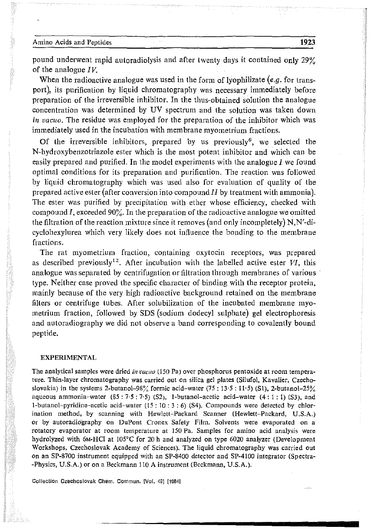pound underwent rapid autoradiolysis and after twenty days it contained only 29% of the analogue *IV.*

When the radioactive analogue was used in the form of lyophilizate *(e.g.* for transport), its purification by liquid chromatography was necessary immediately before preparation of the irreversible inhibitor. In the thus-obtained solution the analogue concentration was determined by UV spectrum and the solution was taken down in vacuo. The residue was employed for the preparation of the inhibitor which was immediately used in the incubation with membrane myometrium fractions.

Of the irreversible inhibitors, prepared by us previously<sup>6</sup>, we selected the N-hydroxybenzotriazole ester which is the most potent inhibitor and which can be easily prepared and purified. In the model experiments with the analogue I we found optimal conditions for its preparation and purification. The reaction was followed by liquid chromatography which was used also for evaluation of quality of the **prepared active ester (after conversion into compound II by treatment with ammonia).** The ester was purified by precipitation with ether whose efficiency, checked with compound I, exceeded 90%. In the preparation of the radioactive analogue we omitted the filtration of the reaction mixture since it removes (and only incompletely) N, N'-dicyclohexylurea which very likely does not influence the bonding to the membrane fractions.

**The rat myometrium** fraction, **containing oxytocin receptors, was prepared** as described previously<sup>12</sup>. After incubation with the labelled active ester *VI*, this analogue was separated by centrifugation or filtration through membranes of various' type. Neither case proved the specific character of binding with the receptor protein, mainly because of the very high radioactive background retained on the membrane filters or centrifuge tubes. After solubilization of the incubated membrane myometrium fraction, followed by SDS (sodium dodecyl sulphate) gel electrophoresis and autoradiography we did not observe a band corresponding to covalently bound peptide.

#### EXPERIMENTAL

The analytical samples were dried *in vacuo* (150 Pa) over phosphorus pentoxide at room tempera**ture. Thin-layer chromatography was carried out on silica gel plates (Silufol, Kavalier, Czechoslovakia) in the systems 2-butanol-98% formic acid-water (75 : 13·5: 11,5) (51), 2-butanol-25% aqueous ammonia-water (85: 7·5: 7'5) (52),** l-butanol-acetic **acid-water (4: 1 : 1) (53). and** l-butanol-pyrldine-acetic **acid-water (IS : 10 : 3 : 6) (54). Compounds were detected by chlorination method, by scanning with Hewlett-Packard Scanner (Hewlett-Packard, U.S.A.) or by autoradiography On DuPont Cronex Safety Film. Solvents were evaporated on a rotatory evaporator at room temperature at 150 Pa. Samples for amino acid analysis were hydrolyzed with 6M-HCI at 105°C for 20 h and analyzed on type 6020 analyzer (Development Workshops, Czechoslovak Academy of Sciences). The liquid chromatography was carried out on an SP-8700 instrument equipped with an SP-8400 detector and SP-4100 integrator (Spectra- -Physics, U.S.A.) or on a Beckmann 110 A instrument (Beckmann, U.S.A.).**

**Collection Czechoslovak Chern.** cornmun. **{Vol. 49J [1984]**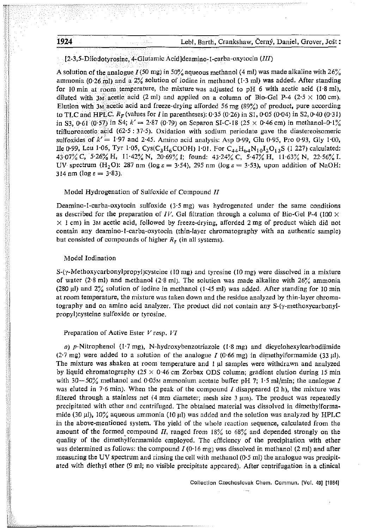1924 Lebl, Barth, Crankshaw, Cerny, Daniel, Grover, Jost:

[2-3,5-Diiodotyrosine. 4-GIutamic Acid]deamino-1-carba-oxytocin *(III)* 

A solution of the analogue I (50 mg) in 50% aqueous methanol (4 ml) was made alkaline with 26% ammonia (0.26 ml) and a  $2\%$  solution of iodine in methanol (1.3 ml) was added. After standing for 10 min at room temperature, the mixture was adjusted to pH 6 with acetic acid (1.8 ml), diluted with 3M acetic acid (2 ml) and applied on a column of Bio-Gel P-4 (2.5  $\times$  100 cm). Elution with 3M acetic acid and freeze-drying afforded 56 mg  $(89\%)$  of product, pure according to TLC and HPLC.  $R_F$  (values for I in parentheses): 0.35 (0.26) in S1, 0.05 (0.04) in S2, 0.40 (0.31) in S3,  $0.61$  ( $0.57$ ) in S4;  $k' = 2.87$  ( $0.79$ ) on Separon SI-C-18 ( $25 \times 0.46$  cm) in methanol- $0.1\%$ trifluoroacetic acid (62.5:  $37.5$ ). Oxidation with sodium periodate gave the diastereoisomeric sulfoxides of *k* <sup>l</sup> "= 1'97 and 2·45. Amino acid analysis: Asp *0,99,* GIn *0'95,* Pro *0'93,* Gly 1'00, lle 0.99. Leu 1.06, Tyr 1.05, Cys(C<sub>3</sub>H<sub>6</sub>COOH) 1.01. For C<sub>44</sub>H<sub>64</sub>N<sub>10</sub>I<sub>2</sub>O<sub>13</sub>S (l 227) calculated: 43'07% C, 5'26% H, 11'42% N, 20'69% I; found: 43'24% C, 5'47% H, 11'63% N, 22'56/~ I. UV spectrum (H<sub>2</sub>O): 287 nm ( $\log \varepsilon = 3.54$ ), 295 nm ( $\log \varepsilon = 3.53$ ), upon addition of NaOH: 314 nm (log  $\varepsilon = 3.83$ ).

## *Model* Hydrogenation of Sulfoxide of Compound *II*

Deamino-1-carba-oxytocin sulfoxide  $(3.5 \text{ mg})$  was hydrogenated under the same conditions as described for the preparation of *IV*. Gel filtration through a column of Bio-Gel P-4 (100  $\times$  $\times$  1 cm) in 3M acetic acid, followed by freeze-drying, afforded 2 mg of product which did not contain any deamino-1-carba-oxytocin (thin-layer chromatography with an authentic sample) but consisted of compounds of higher  $R<sub>F</sub>$  (in all systems).

### Model Iodination

 $S-(\gamma-Methoxycarbonyl)ropyl)cysteine (10 mg) and tyrosine (10 mg) were dissolved in a mixture$ of water (2.8 ml) and methanol (2.8 ml). The solution was made alkaline with  $26\%$  ammonia (280  $\mu$ ) and 2% solution of iodine in methanol (1.45 ml) was added. After standing for 10 min at room temperature, the mixture was taken down and the residue analyzed by thin-layer chromatography and on amino acid analyzer. The product did not contain any S-(y-methoxycarbonylpropyljcysteine sulfoxide or tyrosine.

### Preparation of Active Ester *V* resp. VI

*a*) p-Nitrophenol (1.7 mg), N-hydroxybenzotriazole (1.8 mg) and dicyclohexylcarbodiimide (2.7 mg) were added to a solution of the analogue I (0.66 mg) in dimethylformamide (33  $\mu$ l). The mixture was shaken at room temperature and 1 µl samples were withdrawn and analyzed by liquid chromatography ( $25 \times 0.46$  cm Zorbax ODS column; gradient elution during 15 min with 30-50% methanol and 0.05M ammonium acetate buffer pH 7; 1.5 ml/min; the analogue I was eluted in 7.6 min). When the peak of the compound  $I$  disappeared  $(2 h)$ , the mixture was filtered through a stainless net  $(4 \text{ mm diameter}; \text{ mesh size } 3 \text{ µm})$ . The product was repeatedly precipitated with ether and centrifuged. The obtained material was dissolved in dimethylformamide (30  $\mu$ I), 10% aqueous ammonia (10  $\mu$ I) was added and the solution was analyzed by HPLC in the above-mentioned system. The yield of the whole reaction sequence, calculated from the amount of the formed compound II, ranged from  $18\%$  to  $68\%$  and depended strongly on the quality of the dimethylfcrmamide employed. The efficiency of the precipitation with ether was determined as follows: the compound  $I(0.16 \text{ mg})$  was dissolved in methanol (2 ml) and after measuring the UV spectrum and rinsing the cell *with* methanol (0,5 ml) the analogue was precipitated with diethyl ether (9 ml; no visible precipitate appeared). After centrifugation in a clinical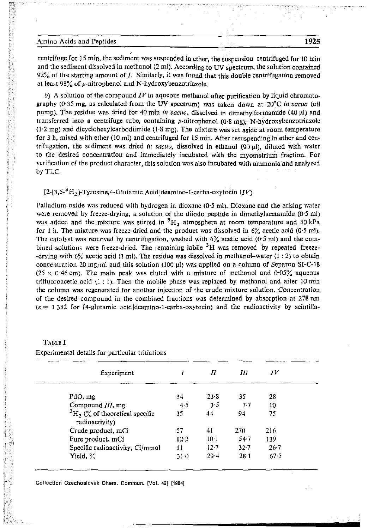#### Amino Acids and Peptides 1925

centrifuge for 15 min, the sediment was suspended in ether, the suspension centrifuged for 10 min and the sediment dissolved in methanol (2 ml). According to UV spectrum, the solution contained  $92\%$  of the starting amount of *I*. Similarly, it was found that this double centrifugation removed at least  $98\%$  of p-nitrophenol and N-hydroxybenzotriazole.

*b)* A solution of the compound *IV* in aqueous methanol after purification by liquid chromatography (0'35 mg, as calculated from the UV spectrum) was taken down at 20°C *in vacuo* (oil pump). The residue was dried for 40 min *in vacuo*, dissolved in dimethylformamide (40 µl) and transferred into a centrifuge tube, containing p-nitrophenol (0'8 mg), N-hydroxybenzotriazole  $(1.2 \text{ mg})$  and dicyclohexylcarbodiimide  $(1.8 \text{ mg})$ . The mixture was set aside at room temperature for 3 h, mixed with ether (10 ml) and centrifuged for 15 min. After resuspending in ether and centrifugation, the sediment was dried *in vacuo.* dissolved in ethanol (90 ul), diluted with water to the desired concentration and immediately incubated with the myometrium fraction. For verification of the product character, this solution was also incubated with ammonia and analyzed by TLC.

## [2-13,5-3*<sup>H</sup> z]-*Tyrosine.d-Glutamic Acid]deamino-I-carba-oxytocin *(IV)*

Palladium oxide was reduced with hydrogen in dioxane (0.5 ml). Dioxane and the arising water were removed by freeze-drying, a solution of the diiodo peptide in dimethylacetamide  $(0.5 \text{ ml})$ was added and the mixture was stirred in <sup>3</sup>H<sub>2</sub> atmosphere at room temperature and 80 kPa for 1 h. The mixture was freeze-dried and the product was dissolved in  $6\frac{9}{4}$  acetic acid (0.5 ml). The catalyst was removed by centrifugation, washed with  $6\%$  acetic acid (0.5 ml) and the combined solutions were freeze-dried. The remaining labile <sup>3</sup>H was removed by repeated freeze--drying with  $6\%$  acetic acid (1 ml). The residue was dissolved in methanol-water (1 : 2) to obtain concentration 20 mg/ml and this solution  $(100 \mu l)$  was applied on a column of Separon SI-C-18  $(25 \times 0.46$  cm). The main peak was eluted with a mixture of methanol and 0.05% aqueous trifluoroacetic acid  $(1: 1)$ . Then the mobile phase was replaced by methanol and after 10 min the column was regenerated for another injection of the crude mixture solution. Concentration of the desired compound in the combined fractions was determined by absorption at 278 nm  $(e = 1382$  for [4-glutamic acid]deamino-1-carba-oxytocin) and the radioactivity by scintilla-

| Experiment                                                 |          | Н        | Ш        | JV       |
|------------------------------------------------------------|----------|----------|----------|----------|
| PdO, mg                                                    | 34       | 23.8     | 35.      | 28       |
| Compound III, mg                                           | 4.5      | $3 - 5$  | $7 - 7$  | 10       |
| ${}^{3}H_{2}$ (% of theoretical specific<br>radioactivity) | 35       | 44       | 94       | 75       |
| Crude product, mCi                                         | 57       | 41       | 270      | 216      |
| Pure product, mCi                                          | $12 - 2$ | $10-1$   | $54 - 7$ | 139      |
| Specific radioactivity, Ci/mmol                            | 11       | $12 - 7$ | 32.7     | $26 - 7$ |
| Yield, $\%$                                                | $31 - 0$ | $29 - 4$ | $28 - 1$ | 67.5     |

TABLE I Experimental details for particular tritiations